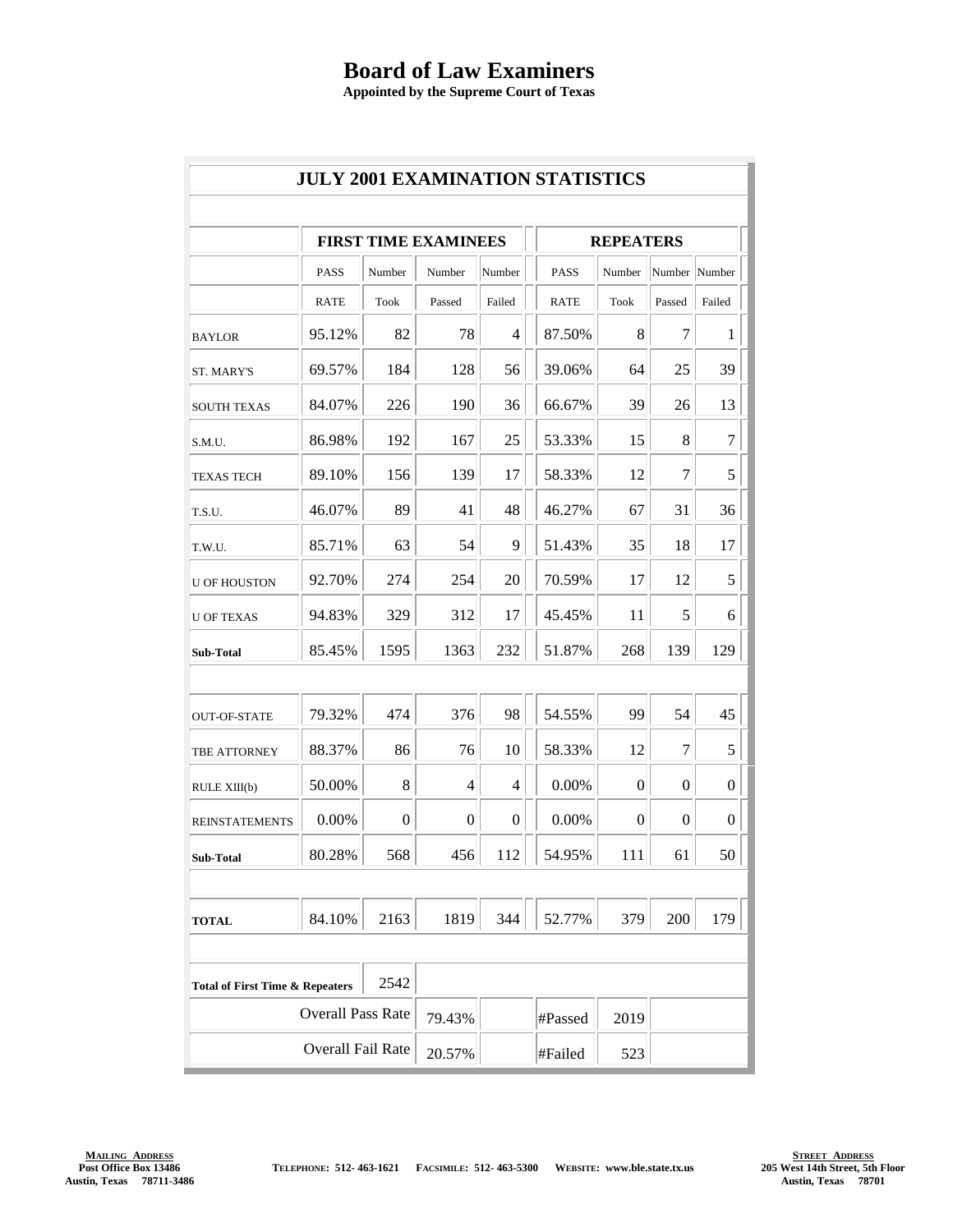## **Board of Law Examiners**

**Appointed by the Supreme Court of Texas**

| <b>JULY 2001 EXAMINATION STATISTICS</b>            |                             |        |                  |                  |              |                  |        |                  |                  |  |  |  |
|----------------------------------------------------|-----------------------------|--------|------------------|------------------|--------------|------------------|--------|------------------|------------------|--|--|--|
|                                                    |                             |        |                  |                  |              |                  |        |                  |                  |  |  |  |
|                                                    | <b>FIRST TIME EXAMINEES</b> |        |                  |                  |              | <b>REPEATERS</b> |        |                  |                  |  |  |  |
|                                                    | <b>PASS</b>                 | Number | Number           | Number           |              | PASS             | Number | Number Number    |                  |  |  |  |
|                                                    | RATE                        | Took   | Passed           | Failed           |              | <b>RATE</b>      | Took   | Passed           | Failed           |  |  |  |
| <b>BAYLOR</b>                                      | 95.12%                      | 82     | 78               | $\overline{4}$   |              | 87.50%           | 8      | 7                | 1                |  |  |  |
| ST. MARY'S                                         | 69.57%                      | 184    | 128              | 56               |              | 39.06%           | 64     | 25               | 39               |  |  |  |
| <b>SOUTH TEXAS</b>                                 | 84.07%                      | 226    | 190              | 36               |              | 66.67%           | 39     | 26               | 13               |  |  |  |
| S.M.U.                                             | 86.98%                      | 192    | 167              | 25               |              | 53.33%           | 15     | 8                | $\tau$           |  |  |  |
| <b>TEXAS TECH</b>                                  | 89.10%                      | 156    | 139              | 17               |              | 58.33%           | 12     | 7                | 5                |  |  |  |
| T.S.U.                                             | 46.07%                      | 89     | 41               | 48               |              | 46.27%           | 67     | 31               | 36               |  |  |  |
| T.W.U.                                             | 85.71%                      | 63     | 54               | 9                |              | 51.43%           | 35     | 18               | 17               |  |  |  |
| <b>U OF HOUSTON</b>                                | 92.70%                      | 274    | 254              | 20               |              | 70.59%           | 17     | 12               | 5                |  |  |  |
| <b>U OF TEXAS</b>                                  | 94.83%                      | 329    | 312              | 17               |              | 45.45%           | 11     | 5                | 6                |  |  |  |
| Sub-Total                                          | 85.45%                      | 1595   | 1363             | 232              |              | 51.87%           | 268    | 139              | 129              |  |  |  |
|                                                    |                             |        |                  |                  |              |                  |        |                  |                  |  |  |  |
| <b>OUT-OF-STATE</b>                                | 79.32%                      | 474    | 376              | 98               |              | 54.55%           | 99     | 54               | 45               |  |  |  |
| TBE ATTORNEY                                       | 88.37%                      | 86     | 76               | 10               |              | 58.33%           | 12     | 7                | 5                |  |  |  |
| RULE XIII(b)                                       | 50.00%                      | 8      | 4                | 4                |              | 0.00%            | 0      | $\theta$         | $\boldsymbol{0}$ |  |  |  |
| <b>REINSTATEMENTS</b>                              | 0.00%                       | 0      | $\boldsymbol{0}$ | $\boldsymbol{0}$ |              | 0.00%            | 0      | $\boldsymbol{0}$ | $\boldsymbol{0}$ |  |  |  |
| Sub-Total                                          | 80.28%                      | 568    | 456              | 112              | $\mathbf{L}$ | 54.95%           | 111    | 61               | 50<br>L.         |  |  |  |
|                                                    |                             |        |                  |                  |              |                  |        |                  |                  |  |  |  |
| <b>TOTAL</b>                                       | 84.10%                      | 2163   | 1819             | 344              |              | 52.77%           | 379    | 200              | 179              |  |  |  |
|                                                    |                             |        |                  |                  |              |                  |        |                  |                  |  |  |  |
| 2542<br><b>Total of First Time &amp; Repeaters</b> |                             |        |                  |                  |              |                  |        |                  |                  |  |  |  |
| <b>Overall Pass Rate</b>                           |                             |        | 79.43%           |                  |              | #Passed          | 2019   |                  |                  |  |  |  |
| Overall Fail Rate                                  |                             |        | 20.57%           |                  |              | #Failed          | 523    |                  |                  |  |  |  |